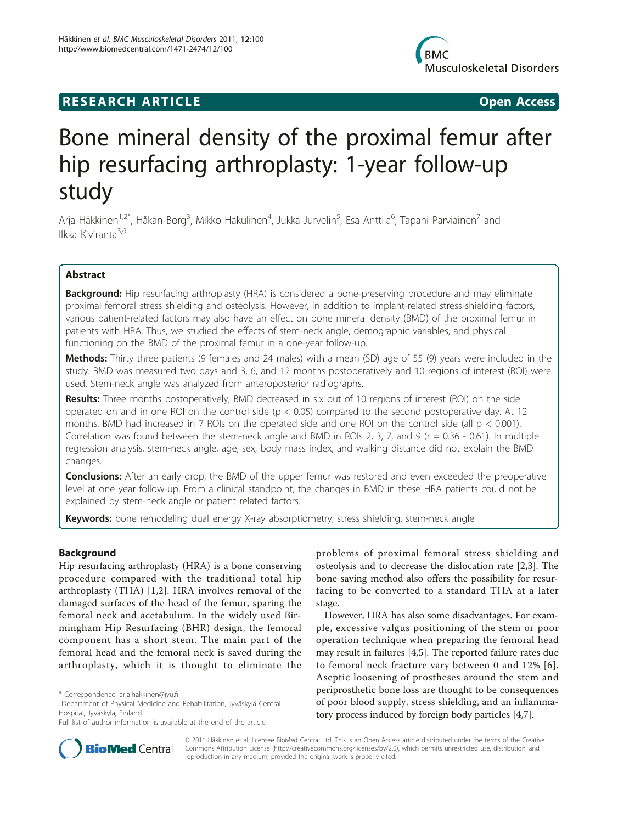# **RESEARCH ARTICLE Example 2018 12:00 Open Access**



# Bone mineral density of the proximal femur after hip resurfacing arthroplasty: 1-year follow-up study

Arja Häkkinen<sup>1,2\*</sup>, Håkan Borg<sup>3</sup>, Mikko Hakulinen<sup>4</sup>, Jukka Jurvelin<sup>5</sup>, Esa Anttila<sup>6</sup>, Tapani Parviainen<sup>7</sup> and Ilkka Kiviranta<sup>3,6</sup>

# Abstract

**Background:** Hip resurfacing arthroplasty (HRA) is considered a bone-preserving procedure and may eliminate proximal femoral stress shielding and osteolysis. However, in addition to implant-related stress-shielding factors, various patient-related factors may also have an effect on bone mineral density (BMD) of the proximal femur in patients with HRA. Thus, we studied the effects of stem-neck angle, demographic variables, and physical functioning on the BMD of the proximal femur in a one-year follow-up.

Methods: Thirty three patients (9 females and 24 males) with a mean (SD) age of 55 (9) years were included in the study. BMD was measured two days and 3, 6, and 12 months postoperatively and 10 regions of interest (ROI) were used. Stem-neck angle was analyzed from anteroposterior radiographs.

Results: Three months postoperatively, BMD decreased in six out of 10 regions of interest (ROI) on the side operated on and in one ROI on the control side ( $p < 0.05$ ) compared to the second postoperative day. At 12 months, BMD had increased in 7 ROIs on the operated side and one ROI on the control side (all  $p < 0.001$ ). Correlation was found between the stem-neck angle and BMD in ROIs 2, 3, 7, and 9 ( $r = 0.36 - 0.61$ ). In multiple regression analysis, stem-neck angle, age, sex, body mass index, and walking distance did not explain the BMD changes.

**Conclusions:** After an early drop, the BMD of the upper femur was restored and even exceeded the preoperative level at one year follow-up. From a clinical standpoint, the changes in BMD in these HRA patients could not be explained by stem-neck angle or patient related factors.

Keywords: bone remodeling dual energy X-ray absorptiometry, stress shielding, stem-neck angle

# Background

Hip resurfacing arthroplasty (HRA) is a bone conserving procedure compared with the traditional total hip arthroplasty (THA) [\[1](#page-4-0),[2\]](#page-4-0). HRA involves removal of the damaged surfaces of the head of the femur, sparing the femoral neck and acetabulum. In the widely used Birmingham Hip Resurfacing (BHR) design, the femoral component has a short stem. The main part of the femoral head and the femoral neck is saved during the arthroplasty, which it is thought to eliminate the

problems of proximal femoral stress shielding and osteolysis and to decrease the dislocation rate [[2](#page-4-0),[3\]](#page-4-0). The bone saving method also offers the possibility for resurfacing to be converted to a standard THA at a later stage.

However, HRA has also some disadvantages. For example, excessive valgus positioning of the stem or poor operation technique when preparing the femoral head may result in failures [\[4,5](#page-4-0)]. The reported failure rates due to femoral neck fracture vary between 0 and 12% [[6\]](#page-4-0). Aseptic loosening of prostheses around the stem and periprosthetic bone loss are thought to be consequences of poor blood supply, stress shielding, and an inflammatory process induced by foreign body particles [[4](#page-4-0),[7](#page-4-0)].



© 2011 Häkkinen et al; licensee BioMed Central Ltd. This is an Open Access article distributed under the terms of the Creative Commons Attribution License [\(http://creativecommons.org/licenses/by/2.0](http://creativecommons.org/licenses/by/2.0)), which permits unrestricted use, distribution, and reproduction in any medium, provided the original work is properly cited.

<sup>\*</sup> Correspondence: [arja.hakkinen@jyu.fi](mailto:arja.hakkinen@jyu.fi)

<sup>1</sup> Department of Physical Medicine and Rehabilitation, Jyväskylä Central Hospital, Jyväskylä, Finland

Full list of author information is available at the end of the article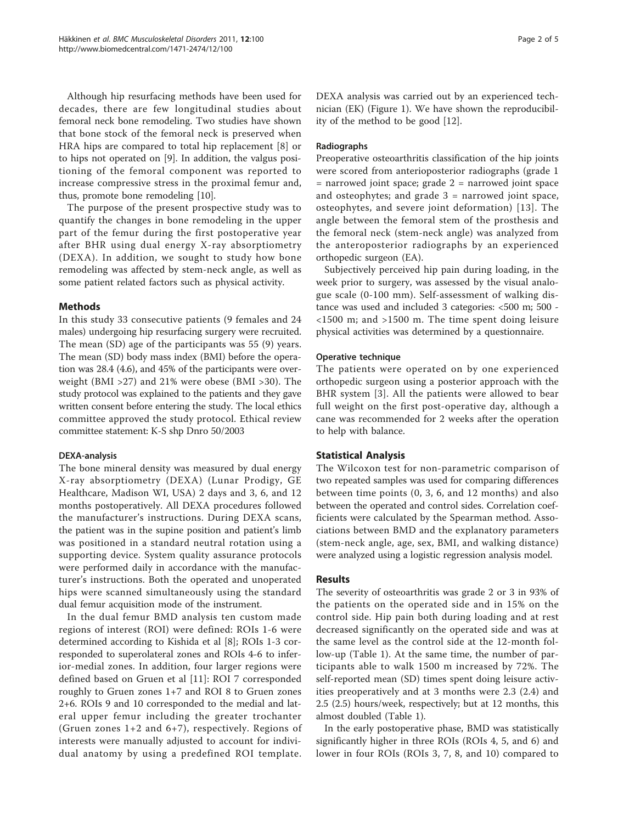Although hip resurfacing methods have been used for decades, there are few longitudinal studies about femoral neck bone remodeling. Two studies have shown that bone stock of the femoral neck is preserved when HRA hips are compared to total hip replacement [[8](#page-4-0)] or to hips not operated on [\[9](#page-4-0)]. In addition, the valgus positioning of the femoral component was reported to increase compressive stress in the proximal femur and, thus, promote bone remodeling [\[10\]](#page-4-0).

The purpose of the present prospective study was to quantify the changes in bone remodeling in the upper part of the femur during the first postoperative year after BHR using dual energy X-ray absorptiometry (DEXA). In addition, we sought to study how bone remodeling was affected by stem-neck angle, as well as some patient related factors such as physical activity.

# Methods

In this study 33 consecutive patients (9 females and 24 males) undergoing hip resurfacing surgery were recruited. The mean (SD) age of the participants was 55 (9) years. The mean (SD) body mass index (BMI) before the operation was 28.4 (4.6), and 45% of the participants were overweight (BMI >27) and 21% were obese (BMI >30). The study protocol was explained to the patients and they gave written consent before entering the study. The local ethics committee approved the study protocol. Ethical review committee statement: K-S shp Dnro 50/2003

# DEXA-analysis

The bone mineral density was measured by dual energy X-ray absorptiometry (DEXA) (Lunar Prodigy, GE Healthcare, Madison WI, USA) 2 days and 3, 6, and 12 months postoperatively. All DEXA procedures followed the manufacturer's instructions. During DEXA scans, the patient was in the supine position and patient's limb was positioned in a standard neutral rotation using a supporting device. System quality assurance protocols were performed daily in accordance with the manufacturer's instructions. Both the operated and unoperated hips were scanned simultaneously using the standard dual femur acquisition mode of the instrument.

In the dual femur BMD analysis ten custom made regions of interest (ROI) were defined: ROIs 1-6 were determined according to Kishida et al [\[8](#page-4-0)]; ROIs 1-3 corresponded to superolateral zones and ROIs 4-6 to inferior-medial zones. In addition, four larger regions were defined based on Gruen et al [\[11](#page-4-0)]: ROI 7 corresponded roughly to Gruen zones 1+7 and ROI 8 to Gruen zones 2+6. ROIs 9 and 10 corresponded to the medial and lateral upper femur including the greater trochanter (Gruen zones 1+2 and 6+7), respectively. Regions of interests were manually adjusted to account for individual anatomy by using a predefined ROI template. DEXA analysis was carried out by an experienced technician (EK) (Figure [1](#page-2-0)). We have shown the reproducibility of the method to be good [\[12](#page-4-0)].

## Radiographs

Preoperative osteoarthritis classification of the hip joints were scored from anterioposterior radiographs (grade 1  $=$  narrowed joint space; grade  $2 =$  narrowed joint space and osteophytes; and grade  $3$  = narrowed joint space, osteophytes, and severe joint deformation) [[13](#page-4-0)]. The angle between the femoral stem of the prosthesis and the femoral neck (stem-neck angle) was analyzed from the anteroposterior radiographs by an experienced orthopedic surgeon (EA).

Subjectively perceived hip pain during loading, in the week prior to surgery, was assessed by the visual analogue scale (0-100 mm). Self-assessment of walking distance was used and included 3 categories: <500 m; 500 - <1500 m; and >1500 m. The time spent doing leisure physical activities was determined by a questionnaire.

#### Operative technique

The patients were operated on by one experienced orthopedic surgeon using a posterior approach with the BHR system [[3](#page-4-0)]. All the patients were allowed to bear full weight on the first post-operative day, although a cane was recommended for 2 weeks after the operation to help with balance.

# Statistical Analysis

The Wilcoxon test for non-parametric comparison of two repeated samples was used for comparing differences between time points (0, 3, 6, and 12 months) and also between the operated and control sides. Correlation coefficients were calculated by the Spearman method. Associations between BMD and the explanatory parameters (stem-neck angle, age, sex, BMI, and walking distance) were analyzed using a logistic regression analysis model.

## Results

The severity of osteoarthritis was grade 2 or 3 in 93% of the patients on the operated side and in 15% on the control side. Hip pain both during loading and at rest decreased significantly on the operated side and was at the same level as the control side at the 12-month follow-up (Table [1\)](#page-2-0). At the same time, the number of participants able to walk 1500 m increased by 72%. The self-reported mean (SD) times spent doing leisure activities preoperatively and at 3 months were 2.3 (2.4) and 2.5 (2.5) hours/week, respectively; but at 12 months, this almost doubled (Table [1](#page-2-0)).

In the early postoperative phase, BMD was statistically significantly higher in three ROIs (ROIs 4, 5, and 6) and lower in four ROIs (ROIs 3, 7, 8, and 10) compared to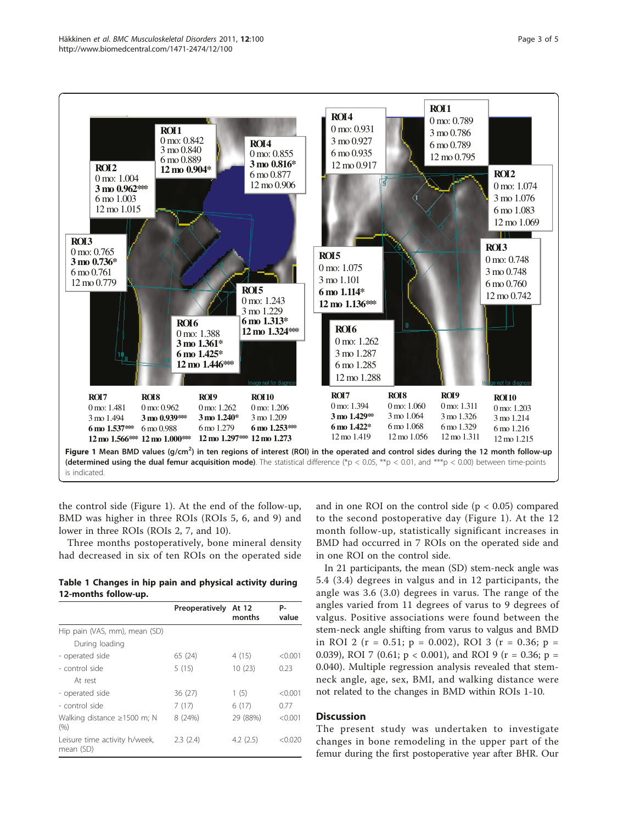<span id="page-2-0"></span>

the control side (Figure 1). At the end of the follow-up, BMD was higher in three ROIs (ROIs 5, 6, and 9) and lower in three ROIs (ROIs 2, 7, and 10).

Three months postoperatively, bone mineral density had decreased in six of ten ROIs on the operated side

Table 1 Changes in hip pain and physical activity during 12-months follow-up.

|                                            | Preoperatively | At 12<br>months | P-<br>value |
|--------------------------------------------|----------------|-----------------|-------------|
| Hip pain (VAS, mm), mean (SD)              |                |                 |             |
| During loading                             |                |                 |             |
| - operated side                            | 65 (24)        | 4 (15)          | < 0.001     |
| - control side                             | 5(15)          | 10(23)          | 0.23        |
| At rest                                    |                |                 |             |
| - operated side                            | 36(27)         | 1(5)            | < 0.001     |
| - control side                             | 7(17)          | 6(17)           | 0.77        |
| Walking distance $\geq$ 1500 m; N<br>(% )  | 8 (24%)        | 29 (88%)        | < 0.001     |
| Leisure time activity h/week,<br>mean (SD) | 2.3(2.4)       | 4.2(2.5)        | < 0.020     |

and in one ROI on the control side  $(p < 0.05)$  compared to the second postoperative day (Figure 1). At the 12 month follow-up, statistically significant increases in BMD had occurred in 7 ROIs on the operated side and in one ROI on the control side.

In 21 participants, the mean (SD) stem-neck angle was 5.4 (3.4) degrees in valgus and in 12 participants, the angle was 3.6 (3.0) degrees in varus. The range of the angles varied from 11 degrees of varus to 9 degrees of valgus. Positive associations were found between the stem-neck angle shifting from varus to valgus and BMD in ROI 2 ( $r = 0.51$ ;  $p = 0.002$ ), ROI 3 ( $r = 0.36$ ;  $p =$ 0.039), ROI 7 (0.61;  $p < 0.001$ ), and ROI 9 (r = 0.36; p = 0.040). Multiple regression analysis revealed that stemneck angle, age, sex, BMI, and walking distance were not related to the changes in BMD within ROIs 1-10.

# **Discussion**

The present study was undertaken to investigate changes in bone remodeling in the upper part of the femur during the first postoperative year after BHR. Our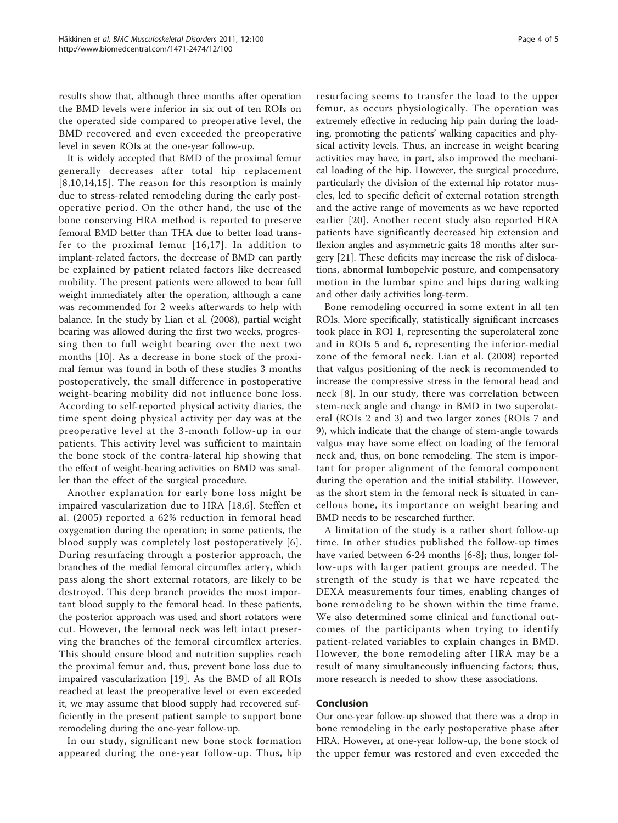results show that, although three months after operation the BMD levels were inferior in six out of ten ROIs on the operated side compared to preoperative level, the BMD recovered and even exceeded the preoperative level in seven ROIs at the one-year follow-up.

It is widely accepted that BMD of the proximal femur generally decreases after total hip replacement [[8](#page-4-0),[10](#page-4-0),[14](#page-4-0),[15\]](#page-4-0). The reason for this resorption is mainly due to stress-related remodeling during the early postoperative period. On the other hand, the use of the bone conserving HRA method is reported to preserve femoral BMD better than THA due to better load transfer to the proximal femur [[16,17\]](#page-4-0). In addition to implant-related factors, the decrease of BMD can partly be explained by patient related factors like decreased mobility. The present patients were allowed to bear full weight immediately after the operation, although a cane was recommended for 2 weeks afterwards to help with balance. In the study by Lian et al. (2008), partial weight bearing was allowed during the first two weeks, progressing then to full weight bearing over the next two months [[10](#page-4-0)]. As a decrease in bone stock of the proximal femur was found in both of these studies 3 months postoperatively, the small difference in postoperative weight-bearing mobility did not influence bone loss. According to self-reported physical activity diaries, the time spent doing physical activity per day was at the preoperative level at the 3-month follow-up in our patients. This activity level was sufficient to maintain the bone stock of the contra-lateral hip showing that the effect of weight-bearing activities on BMD was smaller than the effect of the surgical procedure.

Another explanation for early bone loss might be impaired vascularization due to HRA [\[18](#page-4-0),[6\]](#page-4-0). Steffen et al. (2005) reported a 62% reduction in femoral head oxygenation during the operation; in some patients, the blood supply was completely lost postoperatively [[6\]](#page-4-0). During resurfacing through a posterior approach, the branches of the medial femoral circumflex artery, which pass along the short external rotators, are likely to be destroyed. This deep branch provides the most important blood supply to the femoral head. In these patients, the posterior approach was used and short rotators were cut. However, the femoral neck was left intact preserving the branches of the femoral circumflex arteries. This should ensure blood and nutrition supplies reach the proximal femur and, thus, prevent bone loss due to impaired vascularization [\[19\]](#page-4-0). As the BMD of all ROIs reached at least the preoperative level or even exceeded it, we may assume that blood supply had recovered sufficiently in the present patient sample to support bone remodeling during the one-year follow-up.

In our study, significant new bone stock formation appeared during the one-year follow-up. Thus, hip resurfacing seems to transfer the load to the upper femur, as occurs physiologically. The operation was extremely effective in reducing hip pain during the loading, promoting the patients' walking capacities and physical activity levels. Thus, an increase in weight bearing activities may have, in part, also improved the mechanical loading of the hip. However, the surgical procedure, particularly the division of the external hip rotator muscles, led to specific deficit of external rotation strength and the active range of movements as we have reported earlier [\[20\]](#page-4-0). Another recent study also reported HRA patients have significantly decreased hip extension and flexion angles and asymmetric gaits 18 months after surgery [\[21\]](#page-4-0). These deficits may increase the risk of dislocations, abnormal lumbopelvic posture, and compensatory motion in the lumbar spine and hips during walking and other daily activities long-term.

Bone remodeling occurred in some extent in all ten ROIs. More specifically, statistically significant increases took place in ROI 1, representing the superolateral zone and in ROIs 5 and 6, representing the inferior-medial zone of the femoral neck. Lian et al. (2008) reported that valgus positioning of the neck is recommended to increase the compressive stress in the femoral head and neck [[8](#page-4-0)]. In our study, there was correlation between stem-neck angle and change in BMD in two superolateral (ROIs 2 and 3) and two larger zones (ROIs 7 and 9), which indicate that the change of stem-angle towards valgus may have some effect on loading of the femoral neck and, thus, on bone remodeling. The stem is important for proper alignment of the femoral component during the operation and the initial stability. However, as the short stem in the femoral neck is situated in cancellous bone, its importance on weight bearing and BMD needs to be researched further.

A limitation of the study is a rather short follow-up time. In other studies published the follow-up times have varied between 6-24 months [\[6](#page-4-0)-[8\]](#page-4-0); thus, longer follow-ups with larger patient groups are needed. The strength of the study is that we have repeated the DEXA measurements four times, enabling changes of bone remodeling to be shown within the time frame. We also determined some clinical and functional outcomes of the participants when trying to identify patient-related variables to explain changes in BMD. However, the bone remodeling after HRA may be a result of many simultaneously influencing factors; thus, more research is needed to show these associations.

#### Conclusion

Our one-year follow-up showed that there was a drop in bone remodeling in the early postoperative phase after HRA. However, at one-year follow-up, the bone stock of the upper femur was restored and even exceeded the